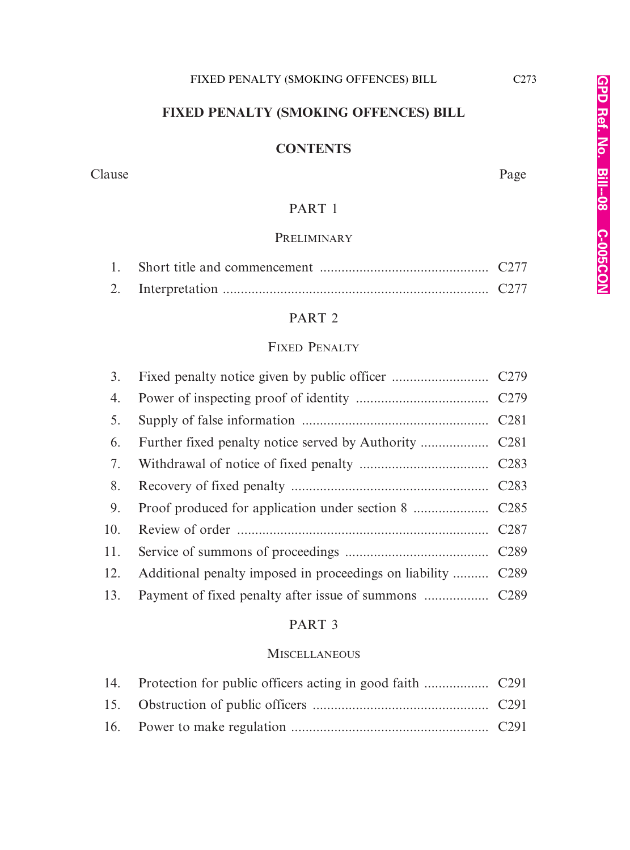## **FIXED PENALTY (SMOKING OFFENCES) BILL**

## **CONTENTS**

#### Clause Page

## PART 1

## **PRELIMINARY**

## PART 2

## FIXED PENALTY

| 4.  |                                                              |  |
|-----|--------------------------------------------------------------|--|
| 5.  |                                                              |  |
| 6.  |                                                              |  |
|     |                                                              |  |
| 8.  |                                                              |  |
| 9.  |                                                              |  |
|     |                                                              |  |
|     |                                                              |  |
| 12. | Additional penalty imposed in proceedings on liability  C289 |  |
| 13. |                                                              |  |

### PART 3

#### **MISCELLANEOUS**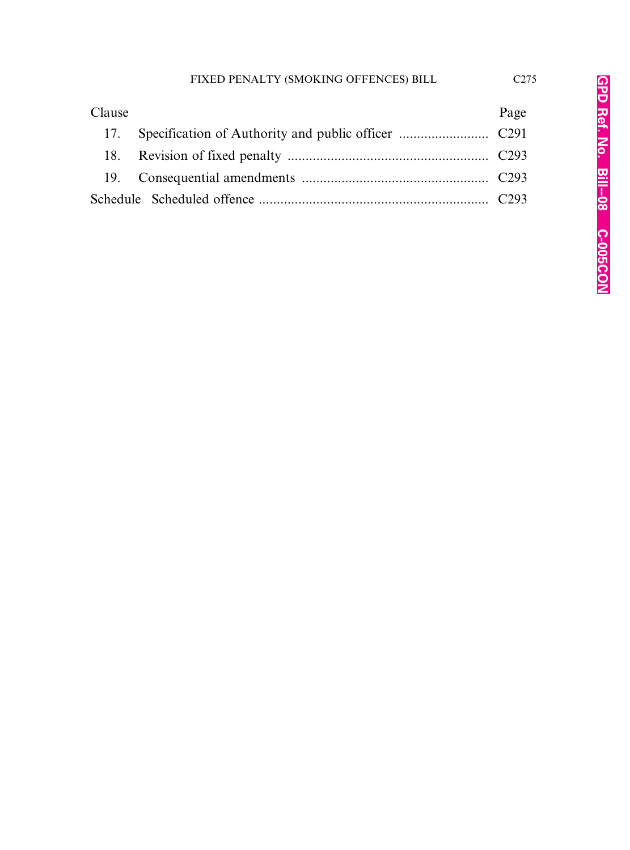| Clause | Page |
|--------|------|
|        |      |
|        |      |
|        |      |
|        |      |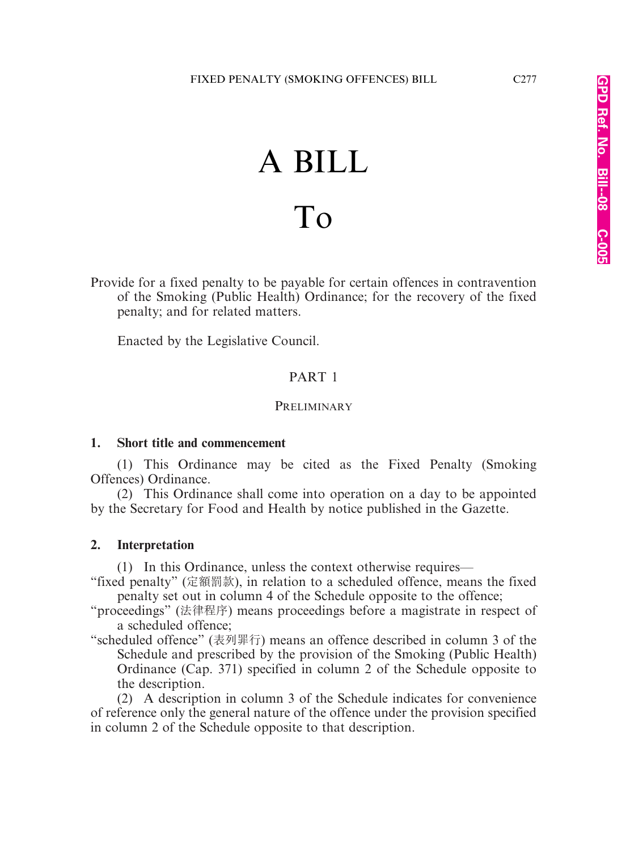# A BILL To

Provide for a fixed penalty to be payable for certain offences in contravention of the Smoking (Public Health) Ordinance; for the recovery of the fixed penalty; and for related matters.

Enacted by the Legislative Council.

## PART 1

#### **PRELIMINARY**

#### **1. Short title and commencement**

(1) This Ordinance may be cited as the Fixed Penalty (Smoking Offences) Ordinance.

(2) This Ordinance shall come into operation on a day to be appointed by the Secretary for Food and Health by notice published in the Gazette.

#### **2. Interpretation**

(1) In this Ordinance, unless the context otherwise requires—

"fixed penalty" (定額罰款), in relation to a scheduled offence, means the fixed penalty set out in column 4 of the Schedule opposite to the offence;

"proceedings" (法律程序) means proceedings before a magistrate in respect of a scheduled offence;

"scheduled offence" (表列罪行) means an offence described in column 3 of the Schedule and prescribed by the provision of the Smoking (Public Health) Ordinance (Cap. 371) specified in column 2 of the Schedule opposite to the description.

(2) A description in column 3 of the Schedule indicates for convenience of reference only the general nature of the offence under the provision specified in column 2 of the Schedule opposite to that description.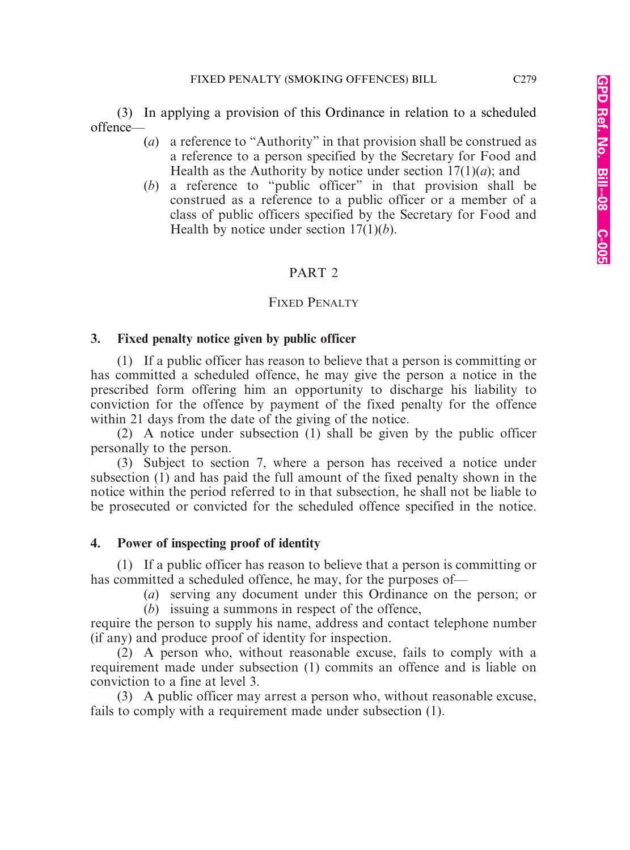(3) In applying a provision of this Ordinance in relation to a scheduled offence—

- (*a*) a reference to "Authority" in that provision shall be construed as a reference to a person specified by the Secretary for Food and Health as the Authority by notice under section 17(1)(*a*); and
- (*b*) a reference to "public officer" in that provision shall be construed as a reference to a public officer or a member of a class of public officers specified by the Secretary for Food and Health by notice under section 17(1)(*b*).

## PART 2

## FIXED PENALTY

## **3. Fixed penalty notice given by public officer**

(1) If a public officer has reason to believe that a person is committing or has committed a scheduled offence, he may give the person a notice in the prescribed form offering him an opportunity to discharge his liability to conviction for the offence by payment of the fixed penalty for the offence within 21 days from the date of the giving of the notice.

(2) A notice under subsection (1) shall be given by the public officer personally to the person.

(3) Subject to section 7, where a person has received a notice under subsection (1) and has paid the full amount of the fixed penalty shown in the notice within the period referred to in that subsection, he shall not be liable to be prosecuted or convicted for the scheduled offence specified in the notice.

## **4. Power of inspecting proof of identity**

(1) If a public officer has reason to believe that a person is committing or has committed a scheduled offence, he may, for the purposes of—

(*a*) serving any document under this Ordinance on the person; or (*b*) issuing a summons in respect of the offence,

require the person to supply his name, address and contact telephone number (if any) and produce proof of identity for inspection.

(2) A person who, without reasonable excuse, fails to comply with a requirement made under subsection (1) commits an offence and is liable on conviction to a fine at level 3.

(3) A public officer may arrest a person who, without reasonable excuse, fails to comply with a requirement made under subsection (1).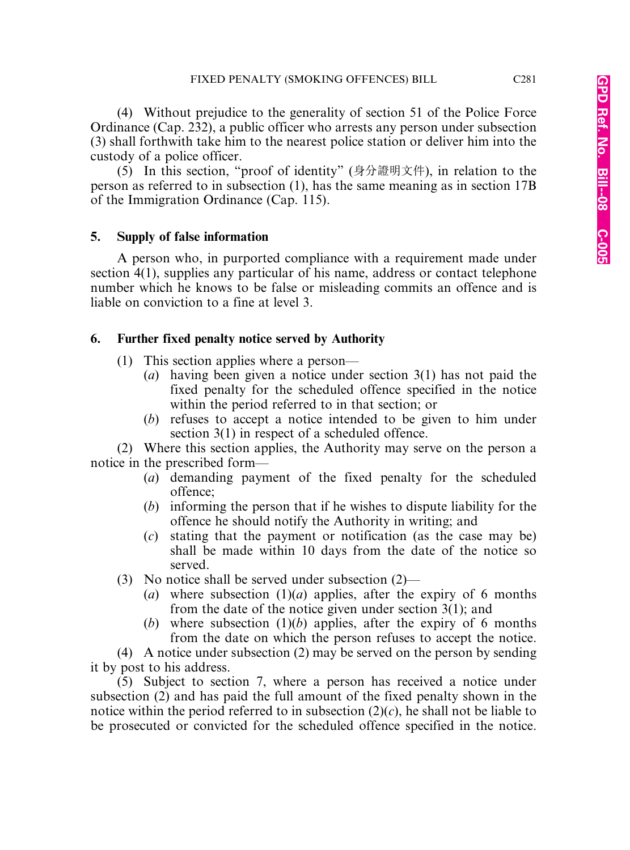(4) Without prejudice to the generality of section 51 of the Police Force Ordinance (Cap. 232), a public officer who arrests any person under subsection (3) shall forthwith take him to the nearest police station or deliver him into the custody of a police officer.

(5) In this section, "proof of identity" (身分證明文件), in relation to the person as referred to in subsection (1), has the same meaning as in section 17B of the Immigration Ordinance (Cap. 115).

### **5. Supply of false information**

A person who, in purported compliance with a requirement made under section 4(1), supplies any particular of his name, address or contact telephone number which he knows to be false or misleading commits an offence and is liable on conviction to a fine at level 3.

## **6. Further fixed penalty notice served by Authority**

- (1) This section applies where a person—
	- (*a*) having been given a notice under section 3(1) has not paid the fixed penalty for the scheduled offence specified in the notice within the period referred to in that section; or
	- (*b*) refuses to accept a notice intended to be given to him under section 3(1) in respect of a scheduled offence.

(2) Where this section applies, the Authority may serve on the person a notice in the prescribed form—

- (*a*) demanding payment of the fixed penalty for the scheduled offence;
- (*b*) informing the person that if he wishes to dispute liability for the offence he should notify the Authority in writing; and
- (*c*) stating that the payment or notification (as the case may be) shall be made within 10 days from the date of the notice so served.
- (3) No notice shall be served under subsection (2)—
	- (*a*) where subsection  $(1)(a)$  applies, after the expiry of 6 months from the date of the notice given under section 3(1); and
	- (*b*) where subsection  $(1)(b)$  applies, after the expiry of 6 months from the date on which the person refuses to accept the notice.

(4) A notice under subsection (2) may be served on the person by sending it by post to his address.

(5) Subject to section 7, where a person has received a notice under subsection (2) and has paid the full amount of the fixed penalty shown in the notice within the period referred to in subsection  $(2)(c)$ , he shall not be liable to be prosecuted or convicted for the scheduled offence specified in the notice.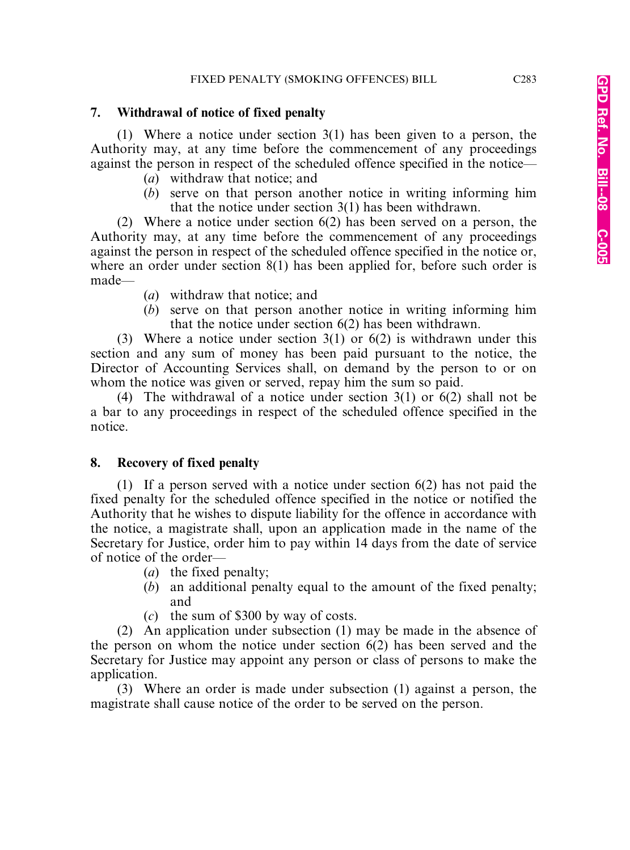## **7. Withdrawal of notice of fixed penalty**

(1) Where a notice under section 3(1) has been given to a person, the Authority may, at any time before the commencement of any proceedings against the person in respect of the scheduled offence specified in the notice—

- (*a*) withdraw that notice; and
- (*b*) serve on that person another notice in writing informing him that the notice under section 3(1) has been withdrawn.

(2) Where a notice under section 6(2) has been served on a person, the Authority may, at any time before the commencement of any proceedings against the person in respect of the scheduled offence specified in the notice or, where an order under section 8(1) has been applied for, before such order is made—

- (*a*) withdraw that notice; and
- (*b*) serve on that person another notice in writing informing him that the notice under section 6(2) has been withdrawn.

(3) Where a notice under section 3(1) or 6(2) is withdrawn under this section and any sum of money has been paid pursuant to the notice, the Director of Accounting Services shall, on demand by the person to or on whom the notice was given or served, repay him the sum so paid.

(4) The withdrawal of a notice under section 3(1) or 6(2) shall not be a bar to any proceedings in respect of the scheduled offence specified in the notice.

## **8. Recovery of fixed penalty**

(1) If a person served with a notice under section 6(2) has not paid the fixed penalty for the scheduled offence specified in the notice or notified the Authority that he wishes to dispute liability for the offence in accordance with the notice, a magistrate shall, upon an application made in the name of the Secretary for Justice, order him to pay within 14 days from the date of service of notice of the order—

- (*a*) the fixed penalty;
- (*b*) an additional penalty equal to the amount of the fixed penalty; and
- (*c*) the sum of \$300 by way of costs.

(2) An application under subsection (1) may be made in the absence of the person on whom the notice under section 6(2) has been served and the Secretary for Justice may appoint any person or class of persons to make the application.

(3) Where an order is made under subsection (1) against a person, the magistrate shall cause notice of the order to be served on the person.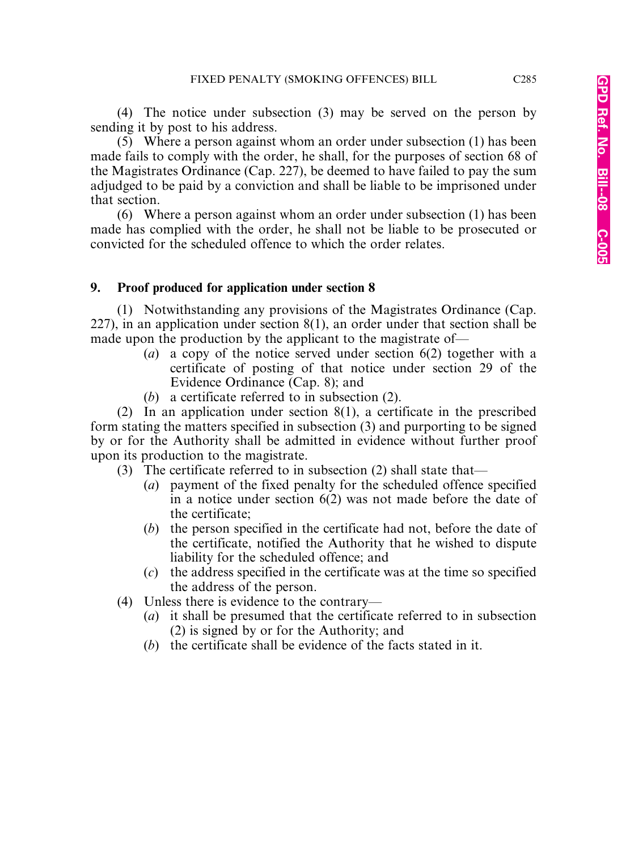(4) The notice under subsection (3) may be served on the person by sending it by post to his address.

(5) Where a person against whom an order under subsection (1) has been made fails to comply with the order, he shall, for the purposes of section 68 of the Magistrates Ordinance (Cap. 227), be deemed to have failed to pay the sum adjudged to be paid by a conviction and shall be liable to be imprisoned under that section.

(6) Where a person against whom an order under subsection (1) has been made has complied with the order, he shall not be liable to be prosecuted or convicted for the scheduled offence to which the order relates.

### **9. Proof produced for application under section 8**

(1) Notwithstanding any provisions of the Magistrates Ordinance (Cap. 227), in an application under section 8(1), an order under that section shall be made upon the production by the applicant to the magistrate of—

- (*a*) a copy of the notice served under section 6(2) together with a certificate of posting of that notice under section 29 of the Evidence Ordinance (Cap. 8); and
- (*b*) a certificate referred to in subsection (2).

(2) In an application under section 8(1), a certificate in the prescribed form stating the matters specified in subsection (3) and purporting to be signed by or for the Authority shall be admitted in evidence without further proof upon its production to the magistrate.

- (3) The certificate referred to in subsection (2) shall state that—
	- (*a*) payment of the fixed penalty for the scheduled offence specified in a notice under section 6(2) was not made before the date of the certificate;
	- (*b*) the person specified in the certificate had not, before the date of the certificate, notified the Authority that he wished to dispute liability for the scheduled offence; and
	- (*c*) the address specified in the certificate was at the time so specified the address of the person.
- (4) Unless there is evidence to the contrary—
	- (*a*) it shall be presumed that the certificate referred to in subsection (2) is signed by or for the Authority; and
	- (*b*) the certificate shall be evidence of the facts stated in it.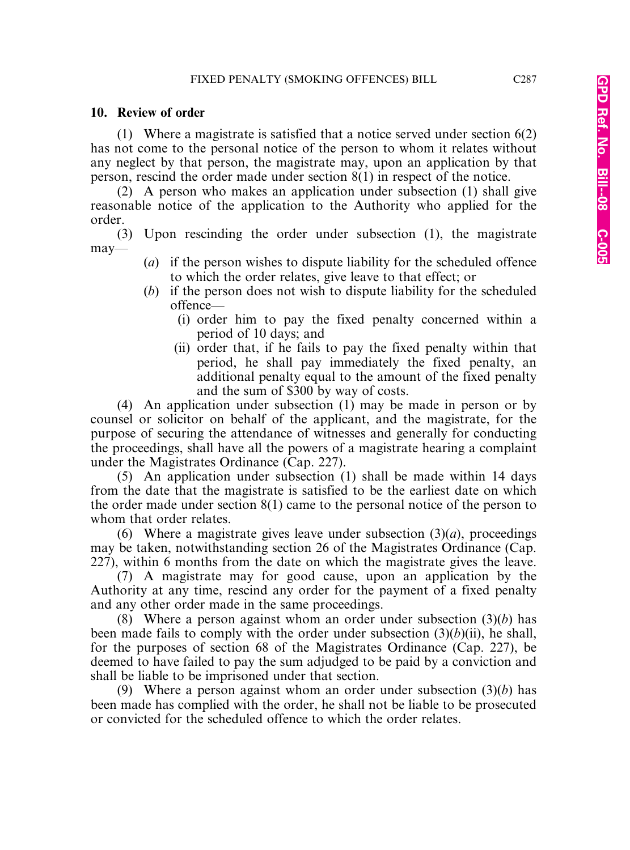#### **10. Review of order**

(1) Where a magistrate is satisfied that a notice served under section 6(2) has not come to the personal notice of the person to whom it relates without any neglect by that person, the magistrate may, upon an application by that person, rescind the order made under section 8(1) in respect of the notice.

(2) A person who makes an application under subsection (1) shall give reasonable notice of the application to the Authority who applied for the order.

(3) Upon rescinding the order under subsection (1), the magistrate may—

- (*a*) if the person wishes to dispute liability for the scheduled offence to which the order relates, give leave to that effect; or
- (*b*) if the person does not wish to dispute liability for the scheduled offence—
	- (i) order him to pay the fixed penalty concerned within a period of 10 days; and
	- (ii) order that, if he fails to pay the fixed penalty within that period, he shall pay immediately the fixed penalty, an additional penalty equal to the amount of the fixed penalty and the sum of \$300 by way of costs.

(4) An application under subsection (1) may be made in person or by counsel or solicitor on behalf of the applicant, and the magistrate, for the purpose of securing the attendance of witnesses and generally for conducting the proceedings, shall have all the powers of a magistrate hearing a complaint under the Magistrates Ordinance (Cap. 227).

(5) An application under subsection (1) shall be made within 14 days from the date that the magistrate is satisfied to be the earliest date on which the order made under section 8(1) came to the personal notice of the person to whom that order relates.

(6) Where a magistrate gives leave under subsection  $(3)(a)$ , proceedings may be taken, notwithstanding section 26 of the Magistrates Ordinance (Cap. 227), within 6 months from the date on which the magistrate gives the leave.

(7) A magistrate may for good cause, upon an application by the Authority at any time, rescind any order for the payment of a fixed penalty and any other order made in the same proceedings.

(8) Where a person against whom an order under subsection (3)(*b*) has been made fails to comply with the order under subsection (3)(*b*)(ii), he shall, for the purposes of section 68 of the Magistrates Ordinance (Cap. 227), be deemed to have failed to pay the sum adjudged to be paid by a conviction and shall be liable to be imprisoned under that section.

(9) Where a person against whom an order under subsection (3)(*b*) has been made has complied with the order, he shall not be liable to be prosecuted or convicted for the scheduled offence to which the order relates.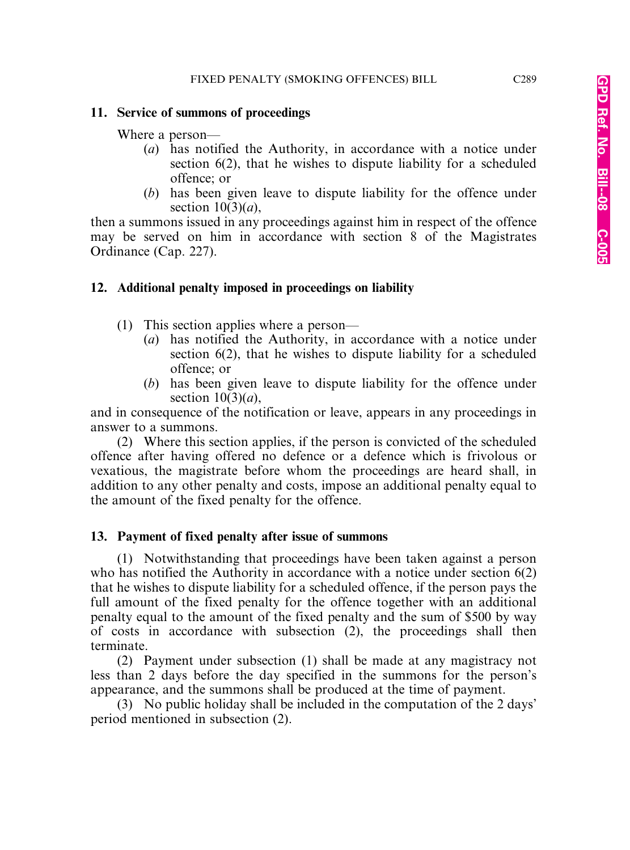#### **11. Service of summons of proceedings**

Where a person—

- (*a*) has notified the Authority, in accordance with a notice under section 6(2), that he wishes to dispute liability for a scheduled offence; or
- (*b*) has been given leave to dispute liability for the offence under section  $10(3)(a)$ ,

then a summons issued in any proceedings against him in respect of the offence may be served on him in accordance with section 8 of the Magistrates Ordinance (Cap. 227).

### **12. Additional penalty imposed in proceedings on liability**

- (1) This section applies where a person—
	- (*a*) has notified the Authority, in accordance with a notice under section 6(2), that he wishes to dispute liability for a scheduled offence; or
	- (*b*) has been given leave to dispute liability for the offence under section  $10(3)(a)$ ,

and in consequence of the notification or leave, appears in any proceedings in answer to a summons.

(2) Where this section applies, if the person is convicted of the scheduled offence after having offered no defence or a defence which is frivolous or vexatious, the magistrate before whom the proceedings are heard shall, in addition to any other penalty and costs, impose an additional penalty equal to the amount of the fixed penalty for the offence.

#### **13. Payment of fixed penalty after issue of summons**

(1) Notwithstanding that proceedings have been taken against a person who has notified the Authority in accordance with a notice under section 6(2) that he wishes to dispute liability for a scheduled offence, if the person pays the full amount of the fixed penalty for the offence together with an additional penalty equal to the amount of the fixed penalty and the sum of \$500 by way of costs in accordance with subsection (2), the proceedings shall then terminate.

(2) Payment under subsection (1) shall be made at any magistracy not less than 2 days before the day specified in the summons for the person's appearance, and the summons shall be produced at the time of payment.

(3) No public holiday shall be included in the computation of the 2 days' period mentioned in subsection (2).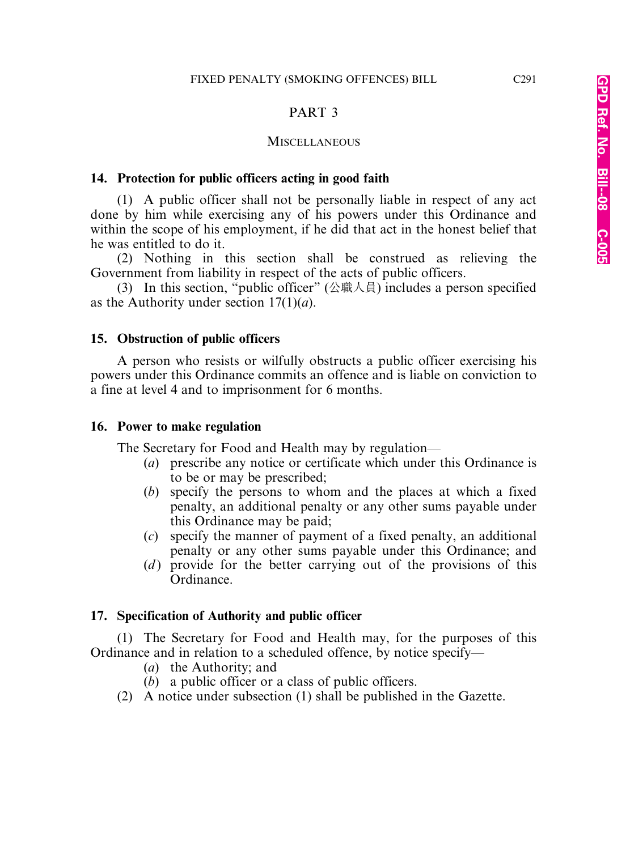#### PART 3

#### **MISCELLANEOUS**

#### **14. Protection for public officers acting in good faith**

(1) A public officer shall not be personally liable in respect of any act done by him while exercising any of his powers under this Ordinance and within the scope of his employment, if he did that act in the honest belief that he was entitled to do it.

(2) Nothing in this section shall be construed as relieving the Government from liability in respect of the acts of public officers.

(3) In this section, "public officer" (公職人員) includes a person specified as the Authority under section 17(1)(*a*).

#### **15. Obstruction of public officers**

A person who resists or wilfully obstructs a public officer exercising his powers under this Ordinance commits an offence and is liable on conviction to a fine at level 4 and to imprisonment for 6 months.

#### **16. Power to make regulation**

The Secretary for Food and Health may by regulation—

- (*a*) prescribe any notice or certificate which under this Ordinance is to be or may be prescribed;
- (*b*) specify the persons to whom and the places at which a fixed penalty, an additional penalty or any other sums payable under this Ordinance may be paid;
- (*c*) specify the manner of payment of a fixed penalty, an additional penalty or any other sums payable under this Ordinance; and
- (*d*) provide for the better carrying out of the provisions of this Ordinance.

#### **17. Specification of Authority and public officer**

(1) The Secretary for Food and Health may, for the purposes of this Ordinance and in relation to a scheduled offence, by notice specify—

- (*a*) the Authority; and
- (*b*) a public officer or a class of public officers.
- (2) A notice under subsection (1) shall be published in the Gazette.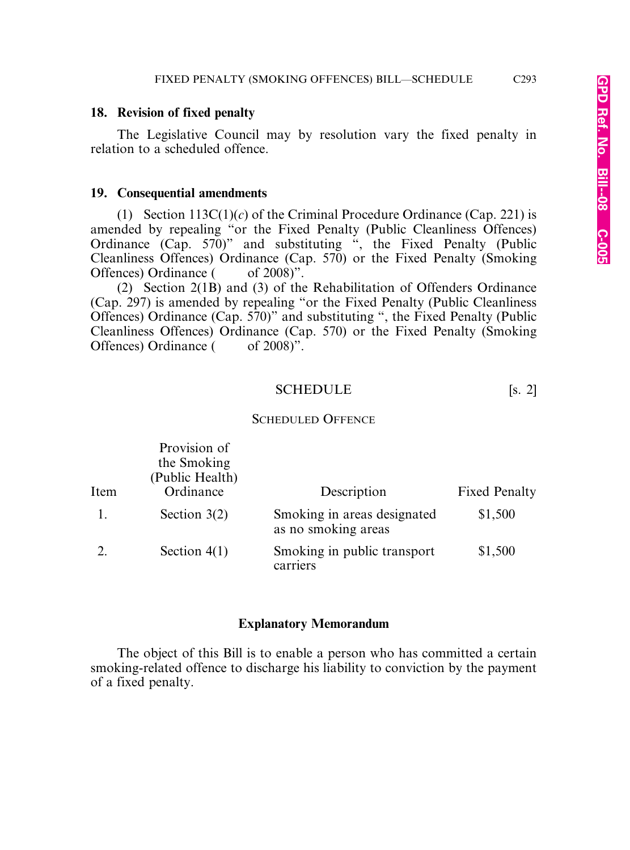#### **18. Revision of fixed penalty**

The Legislative Council may by resolution vary the fixed penalty in relation to a scheduled offence.

#### **19. Consequential amendments**

(1) Section 113C(1)(*c*) of the Criminal Procedure Ordinance (Cap. 221) is amended by repealing "or the Fixed Penalty (Public Cleanliness Offences) Ordinance (Cap. 570)" and substituting ", the Fixed Penalty (Public Cleanliness Offences) Ordinance (Cap. 570) or the Fixed Penalty (Smoking Offences) Ordinance ( of 2008)".

(2) Section 2(1B) and (3) of the Rehabilitation of Offenders Ordinance (Cap. 297) is amended by repealing "or the Fixed Penalty (Public Cleanliness Offences) Ordinance (Cap. 570)" and substituting ", the Fixed Penalty (Public Cleanliness Offences) Ordinance (Cap. 570) or the Fixed Penalty (Smoking Offences) Ordinance ( of 2008)".

#### SCHEDULE [s. 2]

#### SCHEDULED OFFENCE

|      | Provision of<br>the Smoking<br>(Public Health) |                                                    |                      |
|------|------------------------------------------------|----------------------------------------------------|----------------------|
| Item | Ordinance                                      | Description                                        | <b>Fixed Penalty</b> |
|      | Section $3(2)$                                 | Smoking in areas designated<br>as no smoking areas | \$1,500              |
|      | Section $4(1)$                                 | Smoking in public transport<br>carriers            | \$1,500              |

#### **Explanatory Memorandum**

The object of this Bill is to enable a person who has committed a certain smoking-related offence to discharge his liability to conviction by the payment of a fixed penalty.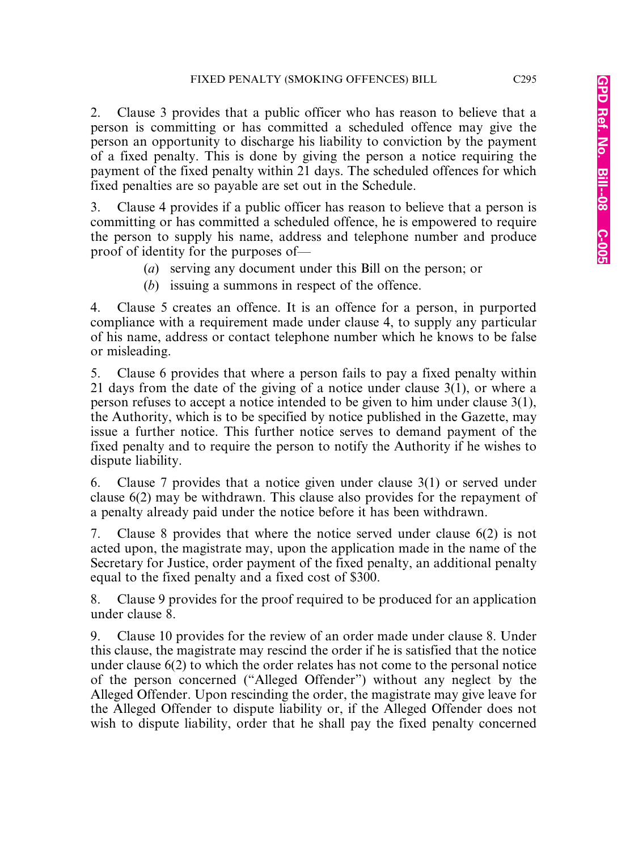2. Clause 3 provides that a public officer who has reason to believe that a person is committing or has committed a scheduled offence may give the person an opportunity to discharge his liability to conviction by the payment of a fixed penalty. This is done by giving the person a notice requiring the payment of the fixed penalty within 21 days. The scheduled offences for which fixed penalties are so payable are set out in the Schedule.

3. Clause 4 provides if a public officer has reason to believe that a person is committing or has committed a scheduled offence, he is empowered to require the person to supply his name, address and telephone number and produce proof of identity for the purposes of—

- (*a*) serving any document under this Bill on the person; or
- (*b*) issuing a summons in respect of the offence.

4. Clause 5 creates an offence. It is an offence for a person, in purported compliance with a requirement made under clause 4, to supply any particular of his name, address or contact telephone number which he knows to be false or misleading.

5. Clause 6 provides that where a person fails to pay a fixed penalty within 21 days from the date of the giving of a notice under clause 3(1), or where a person refuses to accept a notice intended to be given to him under clause 3(1), the Authority, which is to be specified by notice published in the Gazette, may issue a further notice. This further notice serves to demand payment of the fixed penalty and to require the person to notify the Authority if he wishes to dispute liability.

6. Clause 7 provides that a notice given under clause 3(1) or served under clause 6(2) may be withdrawn. This clause also provides for the repayment of a penalty already paid under the notice before it has been withdrawn.

7. Clause 8 provides that where the notice served under clause 6(2) is not acted upon, the magistrate may, upon the application made in the name of the Secretary for Justice, order payment of the fixed penalty, an additional penalty equal to the fixed penalty and a fixed cost of \$300.

8. Clause 9 provides for the proof required to be produced for an application under clause 8.

9. Clause 10 provides for the review of an order made under clause 8. Under this clause, the magistrate may rescind the order if he is satisfied that the notice under clause 6(2) to which the order relates has not come to the personal notice of the person concerned ("Alleged Offender") without any neglect by the Alleged Offender. Upon rescinding the order, the magistrate may give leave for the Alleged Offender to dispute liability or, if the Alleged Offender does not wish to dispute liability, order that he shall pay the fixed penalty concerned